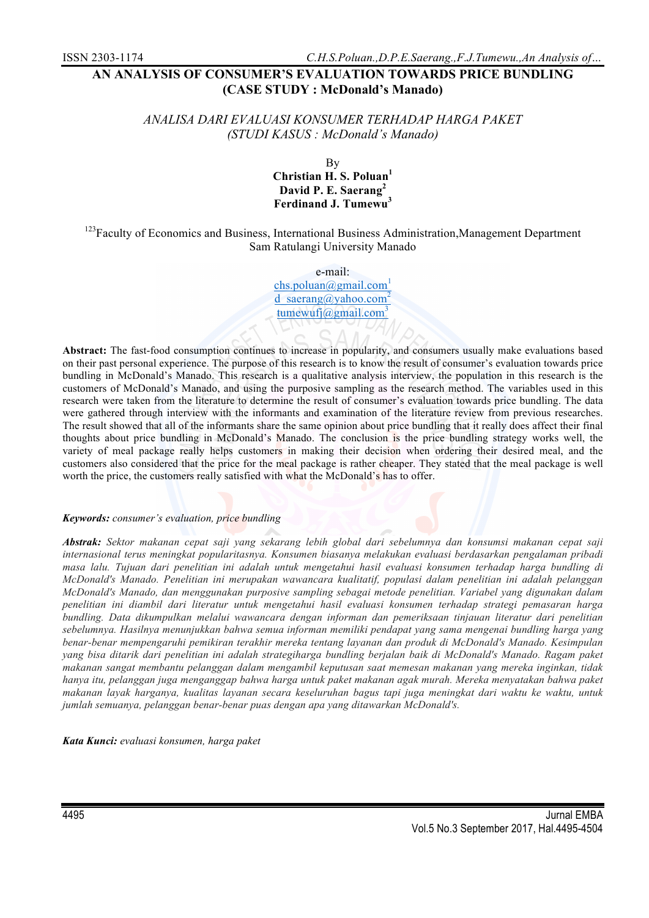# **AN ANALYSIS OF CONSUMER'S EVALUATION TOWARDS PRICE BUNDLING (CASE STUDY : McDonald's Manado)**

# *ANALISA DARI EVALUASI KONSUMER TERHADAP HARGA PAKET (STUDI KASUS : McDonald's Manado)*

By **Christian H. S. Poluan<sup>1</sup> David P. E. Saerang<sup>2</sup> Ferdinand J. Tumewu<sup>3</sup>**

<sup>123</sup>Faculty of Economics and Business, International Business Administration, Management Department Sam Ratulangi University Manado

e-mail:

chs.poluan@gmail.com<sup>1</sup> d saerang@yahoo.com<sup>2</sup> tumewufj@gmail.com<sup>3</sup>

**Abstract:** The fast-food consumption continues to increase in popularity, and consumers usually make evaluations based on their past personal experience. The purpose of this research is to know the result of consumer's evaluation towards price bundling in McDonald's Manado. This research is a qualitative analysis interview, the population in this research is the customers of McDonald's Manado, and using the purposive sampling as the research method. The variables used in this research were taken from the literature to determine the result of consumer's evaluation towards price bundling. The data were gathered through interview with the informants and examination of the literature review from previous researches. The result showed that all of the informants share the same opinion about price bundling that it really does affect their final thoughts about price bundling in McDonald's Manado. The conclusion is the price bundling strategy works well, the variety of meal package really helps customers in making their decision when ordering their desired meal, and the customers also considered that the price for the meal package is rather cheaper. They stated that the meal package is well worth the price, the customers really satisfied with what the McDonald's has to offer.

#### *Keywords: consumer's evaluation, price bundling*

*Abstrak: Sektor makanan cepat saji yang sekarang lebih global dari sebelumnya dan konsumsi makanan cepat saji internasional terus meningkat popularitasnya. Konsumen biasanya melakukan evaluasi berdasarkan pengalaman pribadi masa lalu. Tujuan dari penelitian ini adalah untuk mengetahui hasil evaluasi konsumen terhadap harga bundling di McDonald's Manado. Penelitian ini merupakan wawancara kualitatif, populasi dalam penelitian ini adalah pelanggan McDonald's Manado, dan menggunakan purposive sampling sebagai metode penelitian. Variabel yang digunakan dalam penelitian ini diambil dari literatur untuk mengetahui hasil evaluasi konsumen terhadap strategi pemasaran harga bundling. Data dikumpulkan melalui wawancara dengan informan dan pemeriksaan tinjauan literatur dari penelitian sebelumnya. Hasilnya menunjukkan bahwa semua informan memiliki pendapat yang sama mengenai bundling harga yang benar-benar mempengaruhi pemikiran terakhir mereka tentang layanan dan produk di McDonald's Manado. Kesimpulan yang bisa ditarik dari penelitian ini adalah strategiharga bundling berjalan baik di McDonald's Manado. Ragam paket makanan sangat membantu pelanggan dalam mengambil keputusan saat memesan makanan yang mereka inginkan, tidak hanya itu, pelanggan juga menganggap bahwa harga untuk paket makanan agak murah. Mereka menyatakan bahwa paket makanan layak harganya, kualitas layanan secara keseluruhan bagus tapi juga meningkat dari waktu ke waktu, untuk jumlah semuanya, pelanggan benar-benar puas dengan apa yang ditawarkan McDonald's.*

*Kata Kunci: evaluasi konsumen, harga paket*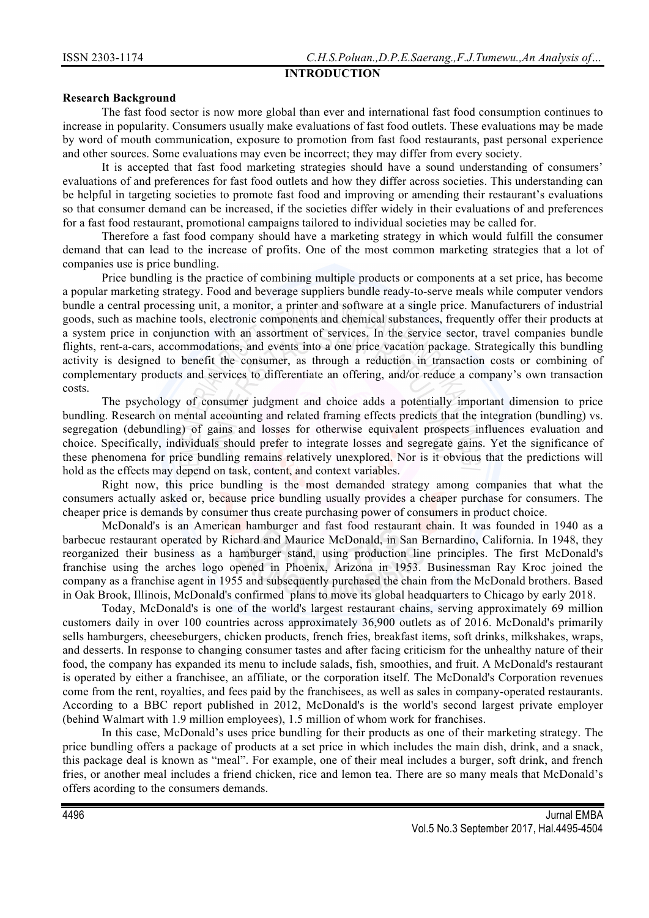# **INTRODUCTION**

## **Research Background**

The fast food sector is now more global than ever and international fast food consumption continues to increase in popularity. Consumers usually make evaluations of fast food outlets. These evaluations may be made by word of mouth communication, exposure to promotion from fast food restaurants, past personal experience and other sources. Some evaluations may even be incorrect; they may differ from every society.

It is accepted that fast food marketing strategies should have a sound understanding of consumers' evaluations of and preferences for fast food outlets and how they differ across societies. This understanding can be helpful in targeting societies to promote fast food and improving or amending their restaurant's evaluations so that consumer demand can be increased, if the societies differ widely in their evaluations of and preferences for a fast food restaurant, promotional campaigns tailored to individual societies may be called for.

Therefore a fast food company should have a marketing strategy in which would fulfill the consumer demand that can lead to the increase of profits. One of the most common marketing strategies that a lot of companies use is price bundling.

Price bundling is the practice of combining multiple products or components at a set price, has become a popular marketing strategy. Food and beverage suppliers bundle ready-to-serve meals while computer vendors bundle a central processing unit, a monitor, a printer and software at a single price. Manufacturers of industrial goods, such as machine tools, electronic components and chemical substances, frequently offer their products at a system price in conjunction with an assortment of services. In the service sector, travel companies bundle flights, rent-a-cars, accommodations, and events into a one price vacation package. Strategically this bundling activity is designed to benefit the consumer, as through a reduction in transaction costs or combining of complementary products and services to differentiate an offering, and/or reduce a company's own transaction costs.

The psychology of consumer judgment and choice adds a potentially important dimension to price bundling. Research on mental accounting and related framing effects predicts that the integration (bundling) vs. segregation (debundling) of gains and losses for otherwise equivalent prospects influences evaluation and choice. Specifically, individuals should prefer to integrate losses and segregate gains. Yet the significance of these phenomena for price bundling remains relatively unexplored. Nor is it obvious that the predictions will hold as the effects may depend on task, content, and context variables.

Right now, this price bundling is the most demanded strategy among companies that what the consumers actually asked or, because price bundling usually provides a cheaper purchase for consumers. The cheaper price is demands by consumer thus create purchasing power of consumers in product choice.

McDonald's is an American hamburger and fast food restaurant chain. It was founded in 1940 as a barbecue restaurant operated by Richard and Maurice McDonald, in San Bernardino, California. In 1948, they reorganized their business as a hamburger stand, using production line principles. The first McDonald's franchise using the arches logo opened in Phoenix, Arizona in 1953. Businessman Ray Kroc joined the company as a franchise agent in 1955 and subsequently purchased the chain from the McDonald brothers. Based in Oak Brook, Illinois, McDonald's confirmed plans to move its global headquarters to Chicago by early 2018.

Today, McDonald's is one of the world's largest restaurant chains, serving approximately 69 million customers daily in over 100 countries across approximately 36,900 outlets as of 2016. McDonald's primarily sells hamburgers, cheeseburgers, chicken products, french fries, breakfast items, soft drinks, milkshakes, wraps, and desserts. In response to changing consumer tastes and after facing criticism for the unhealthy nature of their food, the company has expanded its menu to include salads, fish, smoothies, and fruit. A McDonald's restaurant is operated by either a franchisee, an affiliate, or the corporation itself. The McDonald's Corporation revenues come from the rent, royalties, and fees paid by the franchisees, as well as sales in company-operated restaurants. According to a BBC report published in 2012, McDonald's is the world's second largest private employer (behind Walmart with 1.9 million employees), 1.5 million of whom work for franchises.

In this case, McDonald's uses price bundling for their products as one of their marketing strategy. The price bundling offers a package of products at a set price in which includes the main dish, drink, and a snack, this package deal is known as "meal". For example, one of their meal includes a burger, soft drink, and french fries, or another meal includes a friend chicken, rice and lemon tea. There are so many meals that McDonald's offers acording to the consumers demands.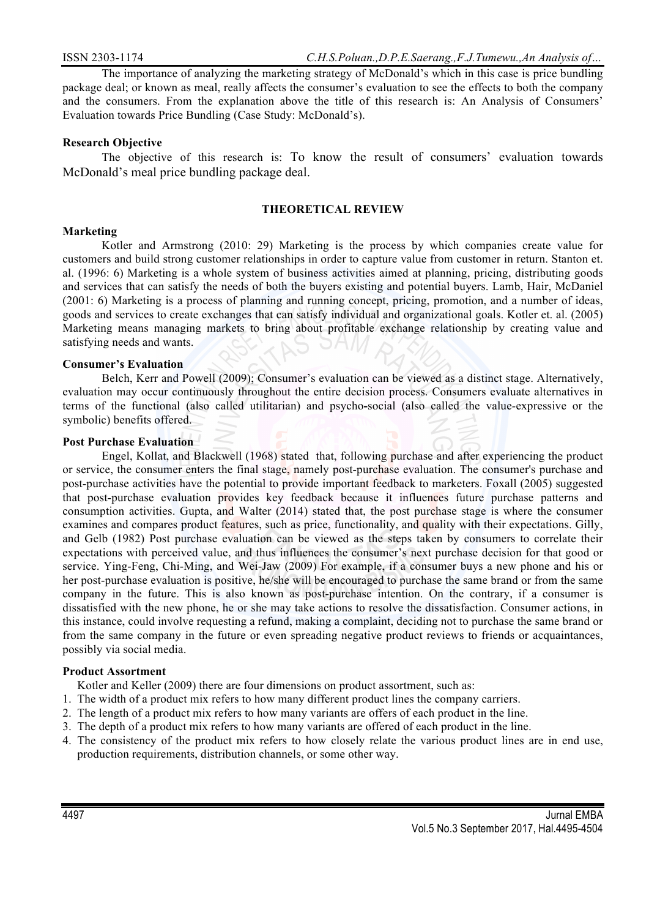The importance of analyzing the marketing strategy of McDonald's which in this case is price bundling package deal; or known as meal, really affects the consumer's evaluation to see the effects to both the company and the consumers. From the explanation above the title of this research is: An Analysis of Consumers' Evaluation towards Price Bundling (Case Study: McDonald's).

# **Research Objective**

The objective of this research is: To know the result of consumers' evaluation towards McDonald's meal price bundling package deal.

## **THEORETICAL REVIEW**

# **Marketing**

Kotler and Armstrong (2010: 29) Marketing is the process by which companies create value for customers and build strong customer relationships in order to capture value from customer in return. Stanton et. al. (1996: 6) Marketing is a whole system of business activities aimed at planning, pricing, distributing goods and services that can satisfy the needs of both the buyers existing and potential buyers. Lamb, Hair, McDaniel (2001: 6) Marketing is a process of planning and running concept, pricing, promotion, and a number of ideas, goods and services to create exchanges that can satisfy individual and organizational goals. Kotler et. al. (2005) Marketing means managing markets to bring about profitable exchange relationship by creating value and satisfying needs and wants.

# **Consumer's Evaluation**

Belch, Kerr and Powell (2009); Consumer's evaluation can be viewed as a distinct stage. Alternatively, evaluation may occur continuously throughout the entire decision process. Consumers evaluate alternatives in terms of the functional (also called utilitarian) and psycho**-**social (also called the value*-*expressive or the symbolic) benefits offered.

#### **Post Purchase Evaluation**

Engel, Kollat, and Blackwell (1968) stated that, following purchase and after experiencing the product or service, the consumer enters the final stage, namely post-purchase evaluation. The consumer's purchase and post-purchase activities have the potential to provide important feedback to marketers. Foxall (2005) suggested that post-purchase evaluation provides key feedback because it influences future purchase patterns and consumption activities. Gupta, and Walter (2014) stated that, the post purchase stage is where the consumer examines and compares product features, such as price, functionality, and quality with their expectations. Gilly, and Gelb (1982) Post purchase evaluation can be viewed as the steps taken by consumers to correlate their expectations with perceived value, and thus influences the consumer's next purchase decision for that good or service. Ying-Feng, Chi-Ming, and Wei-Jaw (2009) For example, if a consumer buys a new phone and his or her post-purchase evaluation is positive, he/she will be encouraged to purchase the same brand or from the same company in the future. This is also known as post-purchase intention. On the contrary, if a consumer is dissatisfied with the new phone, he or she may take actions to resolve the dissatisfaction. Consumer actions, in this instance, could involve requesting a refund, making a complaint, deciding not to purchase the same brand or from the same company in the future or even spreading negative product reviews to friends or acquaintances, possibly via social media.

#### **Product Assortment**

Kotler and Keller (2009) there are four dimensions on product assortment, such as:

- 1. The width of a product mix refers to how many different product lines the company carriers.
- 2. The length of a product mix refers to how many variants are offers of each product in the line.
- 3. The depth of a product mix refers to how many variants are offered of each product in the line.
- 4. The consistency of the product mix refers to how closely relate the various product lines are in end use, production requirements, distribution channels, or some other way.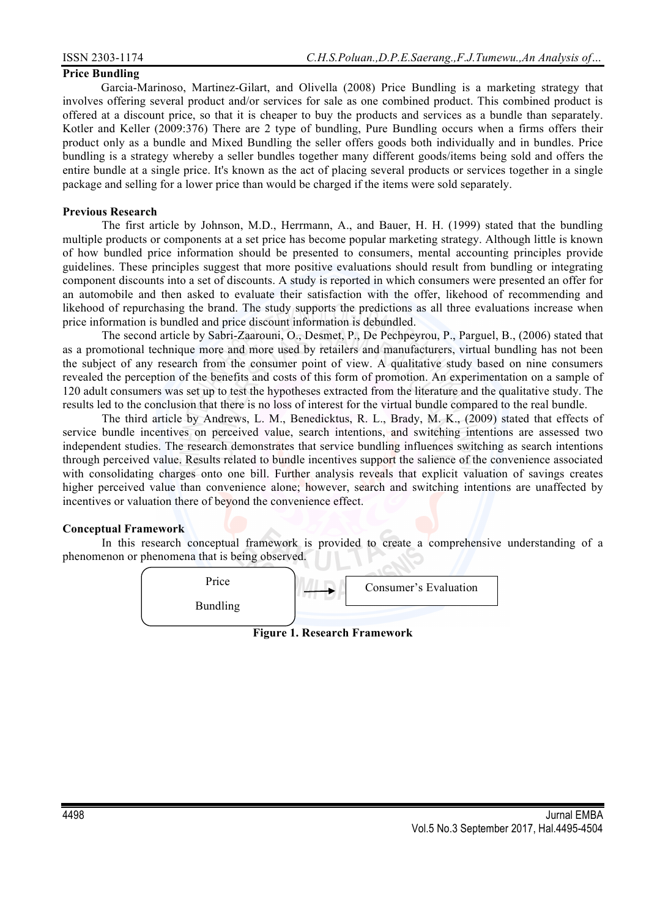#### **Price Bundling**

Garcia-Marinoso, Martinez-Gilart, and Olivella (2008) Price Bundling is a marketing strategy that involves offering several product and/or services for sale as one combined product. This combined product is offered at a discount price, so that it is cheaper to buy the products and services as a bundle than separately. Kotler and Keller (2009:376) There are 2 type of bundling, Pure Bundling occurs when a firms offers their product only as a bundle and Mixed Bundling the seller offers goods both individually and in bundles. Price bundling is a strategy whereby a seller bundles together many different goods/items being sold and offers the entire bundle at a single price. It's known as the act of placing several products or services together in a single package and selling for a lower price than would be charged if the items were sold separately.

## **Previous Research**

The first article by Johnson, M.D., Herrmann, A., and Bauer, H. H. (1999) stated that the bundling multiple products or components at a set price has become popular marketing strategy. Although little is known of how bundled price information should be presented to consumers, mental accounting principles provide guidelines. These principles suggest that more positive evaluations should result from bundling or integrating component discounts into a set of discounts. A study is reported in which consumers were presented an offer for an automobile and then asked to evaluate their satisfaction with the offer, likehood of recommending and likehood of repurchasing the brand. The study supports the predictions as all three evaluations increase when price information is bundled and price discount information is debundled.

The second article by Sabri-Zaarouni, O., Desmet, P., De Pechpeyrou, P., Parguel, B., (2006) stated that as a promotional technique more and more used by retailers and manufacturers, virtual bundling has not been the subject of any research from the consumer point of view. A qualitative study based on nine consumers revealed the perception of the benefits and costs of this form of promotion. An experimentation on a sample of 120 adult consumers was set up to test the hypotheses extracted from the literature and the qualitative study. The results led to the conclusion that there is no loss of interest for the virtual bundle compared to the real bundle.

The third article by Andrews, L. M., Benedicktus, R. L., Brady, M. K., (2009) stated that effects of service bundle incentives on perceived value, search intentions, and switching intentions are assessed two independent studies. The research demonstrates that service bundling influences switching as search intentions through perceived value. Results related to bundle incentives support the salience of the convenience associated with consolidating charges onto one bill. Further analysis reveals that explicit valuation of savings creates higher perceived value than convenience alone; however, search and switching intentions are unaffected by incentives or valuation there of beyond the convenience effect.

#### **Conceptual Framework**

In this research conceptual framework is provided to create a comprehensive understanding of a phenomenon or phenomena that is being observed.



**Figure 1. Research Framework**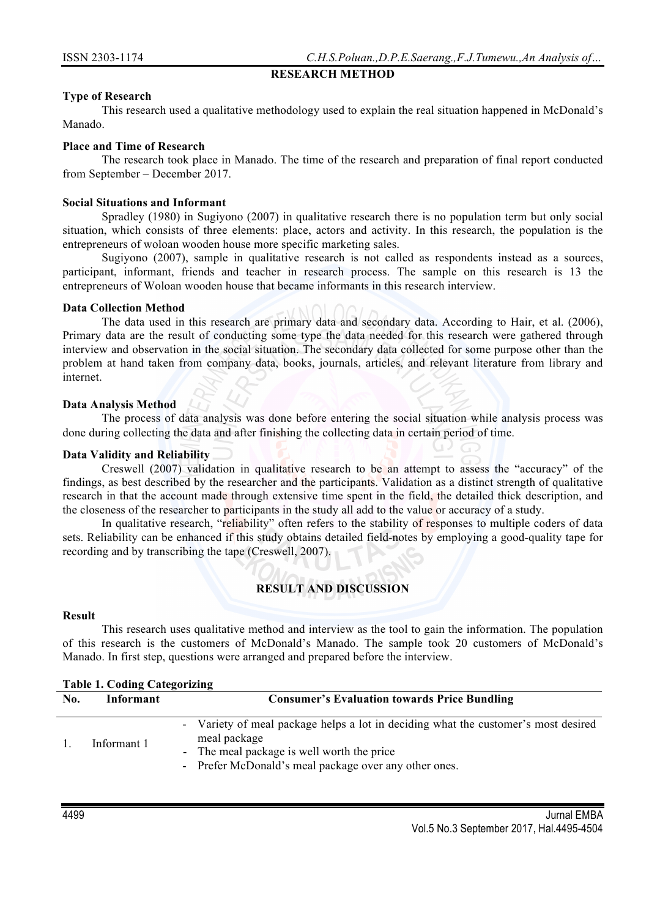# **RESEARCH METHOD**

# **Type of Research**

This research used a qualitative methodology used to explain the real situation happened in McDonald's Manado.

# **Place and Time of Research**

The research took place in Manado. The time of the research and preparation of final report conducted from September – December 2017.

# **Social Situations and Informant**

Spradley (1980) in Sugiyono (2007) in qualitative research there is no population term but only social situation, which consists of three elements: place, actors and activity. In this research, the population is the entrepreneurs of woloan wooden house more specific marketing sales.

Sugiyono (2007), sample in qualitative research is not called as respondents instead as a sources, participant, informant, friends and teacher in research process. The sample on this research is 13 the entrepreneurs of Woloan wooden house that became informants in this research interview.

#### **Data Collection Method**

The data used in this research are primary data and secondary data. According to Hair, et al. (2006), Primary data are the result of conducting some type the data needed for this research were gathered through interview and observation in the social situation. The secondary data collected for some purpose other than the problem at hand taken from company data, books, journals, articles, and relevant literature from library and internet.

# **Data Analysis Method**

The process of data analysis was done before entering the social situation while analysis process was done during collecting the data and after finishing the collecting data in certain period of time.

# **Data Validity and Reliability**

Creswell (2007) validation in qualitative research to be an attempt to assess the "accuracy" of the findings, as best described by the researcher and the participants. Validation as a distinct strength of qualitative research in that the account made through extensive time spent in the field, the detailed thick description, and the closeness of the researcher to participants in the study all add to the value or accuracy of a study.

In qualitative research, "reliability" often refers to the stability of responses to multiple coders of data sets. Reliability can be enhanced if this study obtains detailed field-notes by employing a good-quality tape for recording and by transcribing the tape (Creswell, 2007).

# **RESULT AND DISCUSSION**

#### **Result**

This research uses qualitative method and interview as the tool to gain the information. The population of this research is the customers of McDonald's Manado. The sample took 20 customers of McDonald's Manado. In first step, questions were arranged and prepared before the interview.

| <b>Table 1. Coding Categorizing</b> |             |                                                                                                                                                                                                           |  |  |  |
|-------------------------------------|-------------|-----------------------------------------------------------------------------------------------------------------------------------------------------------------------------------------------------------|--|--|--|
| No.                                 | Informant   | <b>Consumer's Evaluation towards Price Bundling</b>                                                                                                                                                       |  |  |  |
|                                     | Informant 1 | - Variety of meal package helps a lot in deciding what the customer's most desired<br>meal package<br>- The meal package is well worth the price<br>- Prefer McDonald's meal package over any other ones. |  |  |  |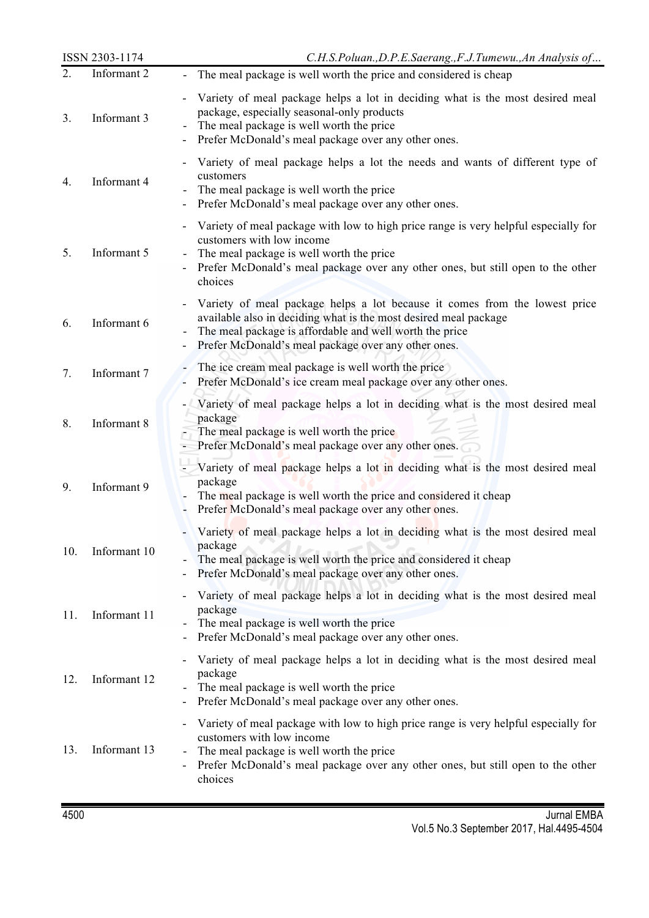|     | ISSN 2303-1174 | C.H.S.Poluan., D.P.E.Saerang., F.J.Tumewu., An Analysis of                                                                                                                                                                                                       |
|-----|----------------|------------------------------------------------------------------------------------------------------------------------------------------------------------------------------------------------------------------------------------------------------------------|
| 2.  | Informant 2    | The meal package is well worth the price and considered is cheap                                                                                                                                                                                                 |
| 3.  | Informant 3    | Variety of meal package helps a lot in deciding what is the most desired meal<br>package, especially seasonal-only products<br>The meal package is well worth the price<br>Prefer McDonald's meal package over any other ones.                                   |
| 4.  | Informant 4    | Variety of meal package helps a lot the needs and wants of different type of<br>customers<br>The meal package is well worth the price<br>Prefer McDonald's meal package over any other ones.                                                                     |
| 5.  | Informant 5    | - Variety of meal package with low to high price range is very helpful especially for<br>customers with low income<br>The meal package is well worth the price<br>Prefer McDonald's meal package over any other ones, but still open to the other<br>choices     |
| 6.  | Informant 6    | Variety of meal package helps a lot because it comes from the lowest price<br>available also in deciding what is the most desired meal package<br>The meal package is affordable and well worth the price<br>Prefer McDonald's meal package over any other ones. |
| 7.  | Informant 7    | The ice cream meal package is well worth the price<br>Prefer McDonald's ice cream meal package over any other ones.                                                                                                                                              |
| 8.  | Informant 8    | Variety of meal package helps a lot in deciding what is the most desired meal<br>package<br>The meal package is well worth the price<br>Prefer McDonald's meal package over any other ones.                                                                      |
| 9.  | Informant 9    | - Variety of meal package helps a lot in deciding what is the most desired meal<br>package<br>The meal package is well worth the price and considered it cheap<br>Prefer McDonald's meal package over any other ones.                                            |
| 10. | Informant 10   | Variety of meal package helps a lot in deciding what is the most desired meal<br>package<br>The meal package is well worth the price and considered it cheap<br>Prefer McDonald's meal package over any other ones.<br>$\overline{\phantom{a}}$                  |
| 11. | Informant 11   | Variety of meal package helps a lot in deciding what is the most desired meal<br>package<br>The meal package is well worth the price<br>Prefer McDonald's meal package over any other ones.<br>-                                                                 |
| 12. | Informant 12   | Variety of meal package helps a lot in deciding what is the most desired meal<br>package<br>The meal package is well worth the price<br>Prefer McDonald's meal package over any other ones.<br>-                                                                 |
| 13. | Informant 13   | Variety of meal package with low to high price range is very helpful especially for<br>customers with low income<br>The meal package is well worth the price<br>Prefer McDonald's meal package over any other ones, but still open to the other<br>choices       |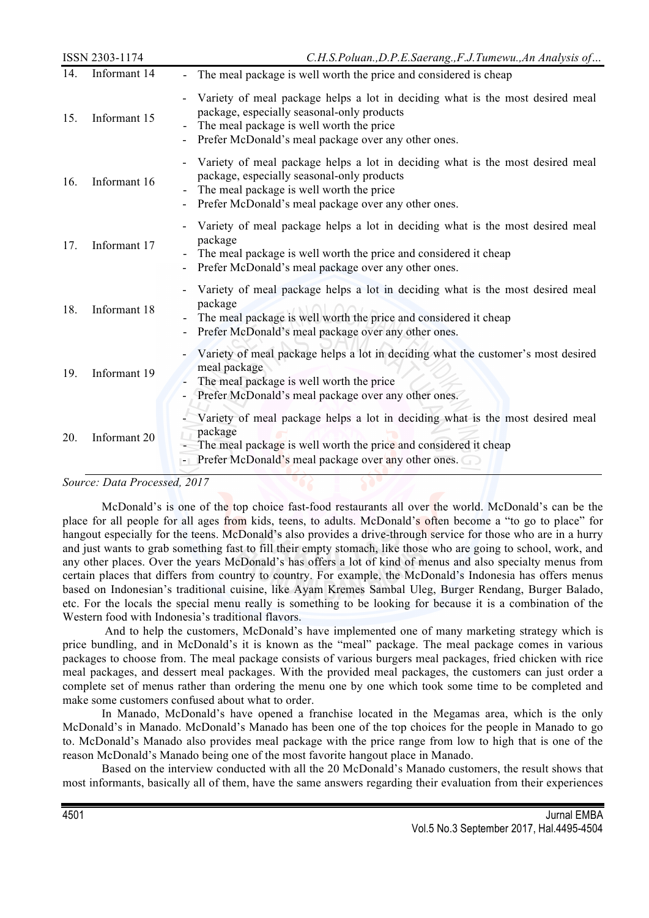| ISSN 2303-1174 |              | C.H.S.Poluan., D.P.E.Saerang., F.J.Tumewu., An Analysis of                                                                                                                                                                     |
|----------------|--------------|--------------------------------------------------------------------------------------------------------------------------------------------------------------------------------------------------------------------------------|
| 14.            | Informant 14 | The meal package is well worth the price and considered is cheap                                                                                                                                                               |
| 15.            | Informant 15 | Variety of meal package helps a lot in deciding what is the most desired meal<br>package, especially seasonal-only products<br>The meal package is well worth the price<br>Prefer McDonald's meal package over any other ones. |
| 16.            | Informant 16 | Variety of meal package helps a lot in deciding what is the most desired meal<br>package, especially seasonal-only products<br>The meal package is well worth the price<br>Prefer McDonald's meal package over any other ones. |
| 17.            | Informant 17 | Variety of meal package helps a lot in deciding what is the most desired meal<br>package<br>The meal package is well worth the price and considered it cheap<br>Prefer McDonald's meal package over any other ones.            |
| 18.            | Informant 18 | Variety of meal package helps a lot in deciding what is the most desired meal<br>package<br>The meal package is well worth the price and considered it cheap<br>Prefer McDonald's meal package over any other ones.            |
| 19.            | Informant 19 | Variety of meal package helps a lot in deciding what the customer's most desired<br>meal package<br>The meal package is well worth the price<br>Prefer McDonald's meal package over any other ones.                            |
| 20.            | Informant 20 | Variety of meal package helps a lot in deciding what is the most desired meal<br>package<br>The meal package is well worth the price and considered it cheap<br>Prefer McDonald's meal package over any other ones.            |

## *Source: Data Processed, 2017*

McDonald's is one of the top choice fast-food restaurants all over the world. McDonald's can be the place for all people for all ages from kids, teens, to adults. McDonald's often become a "to go to place" for hangout especially for the teens. McDonald's also provides a drive-through service for those who are in a hurry and just wants to grab something fast to fill their empty stomach, like those who are going to school, work, and any other places. Over the years McDonald's has offers a lot of kind of menus and also specialty menus from certain places that differs from country to country. For example, the McDonald's Indonesia has offers menus based on Indonesian's traditional cuisine, like Ayam Kremes Sambal Uleg, Burger Rendang, Burger Balado, etc. For the locals the special menu really is something to be looking for because it is a combination of the Western food with Indonesia's traditional flavors.

And to help the customers, McDonald's have implemented one of many marketing strategy which is price bundling, and in McDonald's it is known as the "meal" package. The meal package comes in various packages to choose from. The meal package consists of various burgers meal packages, fried chicken with rice meal packages, and dessert meal packages. With the provided meal packages, the customers can just order a complete set of menus rather than ordering the menu one by one which took some time to be completed and make some customers confused about what to order.

In Manado, McDonald's have opened a franchise located in the Megamas area, which is the only McDonald's in Manado. McDonald's Manado has been one of the top choices for the people in Manado to go to. McDonald's Manado also provides meal package with the price range from low to high that is one of the reason McDonald's Manado being one of the most favorite hangout place in Manado.

Based on the interview conducted with all the 20 McDonald's Manado customers, the result shows that most informants, basically all of them, have the same answers regarding their evaluation from their experiences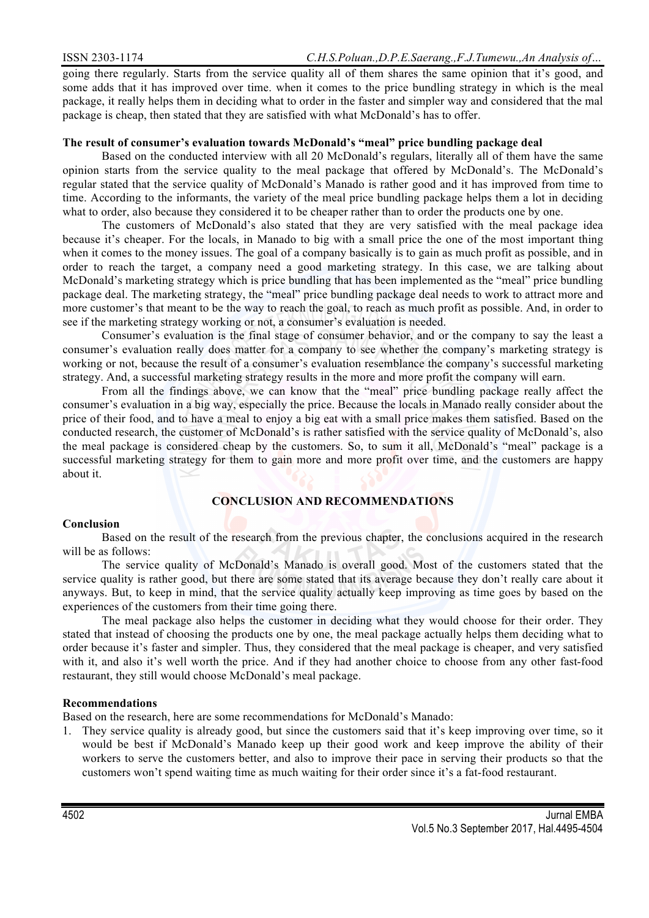going there regularly. Starts from the service quality all of them shares the same opinion that it's good, and some adds that it has improved over time. when it comes to the price bundling strategy in which is the meal package, it really helps them in deciding what to order in the faster and simpler way and considered that the mal package is cheap, then stated that they are satisfied with what McDonald's has to offer.

## **The result of consumer's evaluation towards McDonald's "meal" price bundling package deal**

Based on the conducted interview with all 20 McDonald's regulars, literally all of them have the same opinion starts from the service quality to the meal package that offered by McDonald's. The McDonald's regular stated that the service quality of McDonald's Manado is rather good and it has improved from time to time. According to the informants, the variety of the meal price bundling package helps them a lot in deciding what to order, also because they considered it to be cheaper rather than to order the products one by one.

The customers of McDonald's also stated that they are very satisfied with the meal package idea because it's cheaper. For the locals, in Manado to big with a small price the one of the most important thing when it comes to the money issues. The goal of a company basically is to gain as much profit as possible, and in order to reach the target, a company need a good marketing strategy. In this case, we are talking about McDonald's marketing strategy which is price bundling that has been implemented as the "meal" price bundling package deal. The marketing strategy, the "meal" price bundling package deal needs to work to attract more and more customer's that meant to be the way to reach the goal, to reach as much profit as possible. And, in order to see if the marketing strategy working or not, a consumer's evaluation is needed.

Consumer's evaluation is the final stage of consumer behavior, and or the company to say the least a consumer's evaluation really does matter for a company to see whether the company's marketing strategy is working or not, because the result of a consumer's evaluation resemblance the company's successful marketing strategy. And, a successful marketing strategy results in the more and more profit the company will earn.

From all the findings above, we can know that the "meal" price bundling package really affect the consumer's evaluation in a big way, especially the price. Because the locals in Manado really consider about the price of their food, and to have a meal to enjoy a big eat with a small price makes them satisfied. Based on the conducted research, the customer of McDonald's is rather satisfied with the service quality of McDonald's, also the meal package is considered cheap by the customers. So, to sum it all, McDonald's "meal" package is a successful marketing strategy for them to gain more and more profit over time, and the customers are happy about it.

# **CONCLUSION AND RECOMMENDATIONS**

#### **Conclusion**

Based on the result of the research from the previous chapter, the conclusions acquired in the research will be as follows:

The service quality of McDonald's Manado is overall good. Most of the customers stated that the service quality is rather good, but there are some stated that its average because they don't really care about it anyways. But, to keep in mind, that the service quality actually keep improving as time goes by based on the experiences of the customers from their time going there.

The meal package also helps the customer in deciding what they would choose for their order. They stated that instead of choosing the products one by one, the meal package actually helps them deciding what to order because it's faster and simpler. Thus, they considered that the meal package is cheaper, and very satisfied with it, and also it's well worth the price. And if they had another choice to choose from any other fast-food restaurant, they still would choose McDonald's meal package.

#### **Recommendations**

Based on the research, here are some recommendations for McDonald's Manado:

1. They service quality is already good, but since the customers said that it's keep improving over time, so it would be best if McDonald's Manado keep up their good work and keep improve the ability of their workers to serve the customers better, and also to improve their pace in serving their products so that the customers won't spend waiting time as much waiting for their order since it's a fat-food restaurant.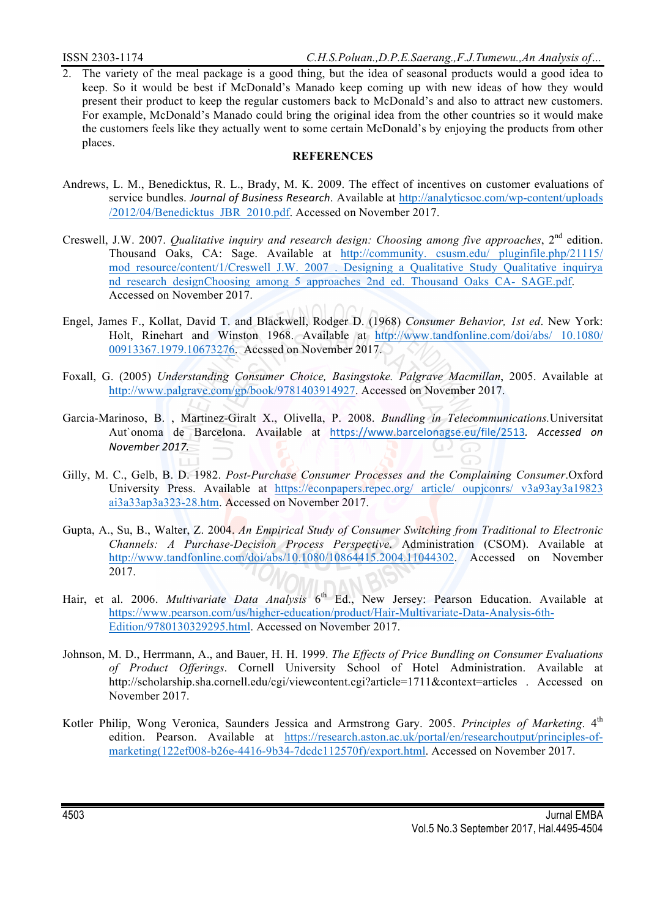2. The variety of the meal package is a good thing, but the idea of seasonal products would a good idea to keep. So it would be best if McDonald's Manado keep coming up with new ideas of how they would present their product to keep the regular customers back to McDonald's and also to attract new customers. For example, McDonald's Manado could bring the original idea from the other countries so it would make the customers feels like they actually went to some certain McDonald's by enjoying the products from other places.

# **REFERENCES**

- Andrews, L. M., Benedicktus, R. L., Brady, M. K. 2009. The effect of incentives on customer evaluations of service bundles. *Journal of Business Research*. Available at http://analyticsoc.com/wp-content/uploads /2012/04/Benedicktus\_JBR\_2010.pdf. Accessed on November 2017.
- Creswell, J.W. 2007. *Qualitative inquiry and research design: Choosing among five approaches*, 2nd edition. Thousand Oaks, CA: Sage. Available at http://community. csusm.edu/ pluginfile.php/21115/ mod resource/content/1/Creswell J.W. 2007. Designing a Qualitative Study Qualitative inquirya nd research designChoosing among 5 approaches 2nd ed. Thousand Oaks CA- SAGE.pdf. Accessed on November 2017.
- Engel, James F., Kollat, David T. and Blackwell, Rodger D. (1968) *Consumer Behavior, 1st ed*. New York: Holt, Rinehart and Winston 1968. Available at http://www.tandfonline.com/doi/abs/ 10.1080/ 00913367.1979.10673276. Accssed on November 2017.
- Foxall, G. (2005) *Understanding Consumer Choice, Basingstoke. Palgrave Macmillan*, 2005. Available at http://www.palgrave.com/gp/book/9781403914927. Accessed on November 2017.
- Garcia-Marinoso, B. , Martinez-Giralt X., Olivella, P. 2008. *Bundling in Telecommunications.*Universitat Aut`onoma de Barcelona. Available at https://www.barcelonagse.eu/file/2513*. Accessed on November 2017.*
- Gilly, M. C., Gelb, B. D. 1982. *Post-Purchase Consumer Processes and the Complaining Consumer*.Oxford University Press. Available at https://econpapers.repec.org/ article/ oupjconrs/ v3a93ay3a19823 ai3a33ap3a323-28.htm. Accessed on November 2017.
- Gupta, A., Su, B., Walter, Z. 2004. *An Empirical Study of Consumer Switching from Traditional to Electronic Channels: A Purchase-Decision Process Perspective*. Administration (CSOM). Available at http://www.tandfonline.com/doi/abs/10.1080/10864415.2004.11044302. Accessed on November 2017.
- Hair, et al. 2006. *Multivariate Data Analysis* 6<sup>th</sup> Ed., New Jersey: Pearson Education. Available at https://www.pearson.com/us/higher-education/product/Hair-Multivariate-Data-Analysis-6th-Edition/9780130329295.html. Accessed on November 2017.
- Johnson, M. D., Herrmann, A., and Bauer, H. H. 1999. *The Effects of Price Bundling on Consumer Evaluations of Product Offerings*. Cornell University School of Hotel Administration. Available at http://scholarship.sha.cornell.edu/cgi/viewcontent.cgi?article=1711&context=articles . Accessed on November 2017.
- Kotler Philip, Wong Veronica, Saunders Jessica and Armstrong Gary. 2005. *Principles of Marketing*. 4<sup>th</sup> edition. Pearson. Available at https://research.aston.ac.uk/portal/en/researchoutput/principles-ofmarketing(122ef008-b26e-4416-9b34-7dcdc112570f)/export.html. Accessed on November 2017.